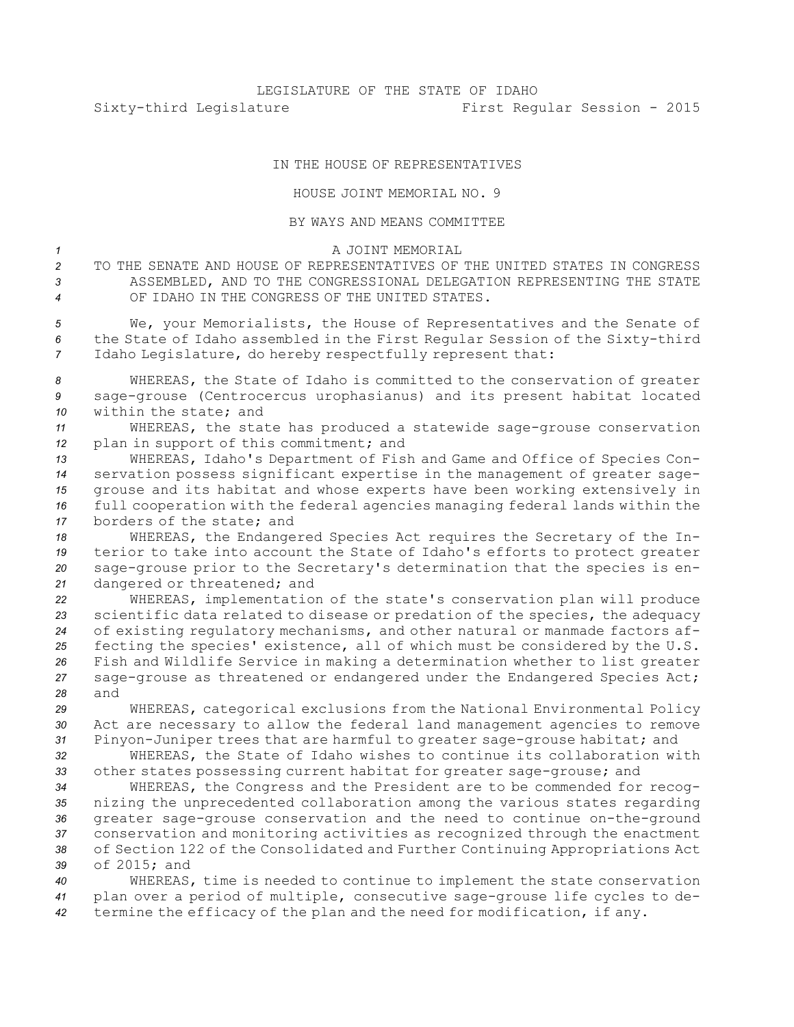## IN THE HOUSE OF REPRESENTATIVES

## HOUSE JOINT MEMORIAL NO. 9

## BY WAYS AND MEANS COMMITTEE

*1* A JOINT MEMORIAL

*2* TO THE SENATE AND HOUSE OF REPRESENTATIVES OF THE UNITED STATES IN CONGRESS *3* ASSEMBLED, AND TO THE CONGRESSIONAL DELEGATION REPRESENTING THE STATE *4* OF IDAHO IN THE CONGRESS OF THE UNITED STATES.

*<sup>5</sup>* We, your Memorialists, the House of Representatives and the Senate of *<sup>6</sup>* the State of Idaho assembled in the First Regular Session of the Sixty-third *<sup>7</sup>* Idaho Legislature, do hereby respectfully represent that:

*<sup>8</sup>* WHEREAS, the State of Idaho is committed to the conservation of greater *<sup>9</sup>* sage-grouse (Centrocercus urophasianus) and its present habitat located *10* within the state; and

*<sup>11</sup>* WHEREAS, the state has produced <sup>a</sup> statewide sage-grouse conservation *<sup>12</sup>* plan in support of this commitment; and

 WHEREAS, Idaho's Department of Fish and Game and Office of Species Con- servation possess significant expertise in the management of greater sage- grouse and its habitat and whose experts have been working extensively in full cooperation with the federal agencies managing federal lands within the borders of the state; and

 WHEREAS, the Endangered Species Act requires the Secretary of the In- terior to take into account the State of Idaho's efforts to protect greater sage-grouse prior to the Secretary's determination that the species is en-dangered or threatened; and

 WHEREAS, implementation of the state's conservation plan will produce scientific data related to disease or predation of the species, the adequacy of existing regulatory mechanisms, and other natural or manmade factors af- fecting the species' existence, all of which must be considered by the U.S. Fish and Wildlife Service in making <sup>a</sup> determination whether to list greater sage-grouse as threatened or endangered under the Endangered Species Act; *28* and

*<sup>29</sup>* WHEREAS, categorical exclusions from the National Environmental Policy *<sup>30</sup>* Act are necessary to allow the federal land management agencies to remove *<sup>31</sup>* Pinyon-Juniper trees that are harmful to greater sage-grouse habitat; and

*<sup>32</sup>* WHEREAS, the State of Idaho wishes to continue its collaboration with *<sup>33</sup>* other states possessing current habitat for greater sage-grouse; and

 WHEREAS, the Congress and the President are to be commended for recog- nizing the unprecedented collaboration among the various states regarding greater sage-grouse conservation and the need to continue on-the-ground conservation and monitoring activities as recognized through the enactment of Section 122 of the Consolidated and Further Continuing Appropriations Act of 2015; and

*<sup>40</sup>* WHEREAS, time is needed to continue to implement the state conservation *<sup>41</sup>* plan over <sup>a</sup> period of multiple, consecutive sage-grouse life cycles to de-*<sup>42</sup>* termine the efficacy of the plan and the need for modification, if any.